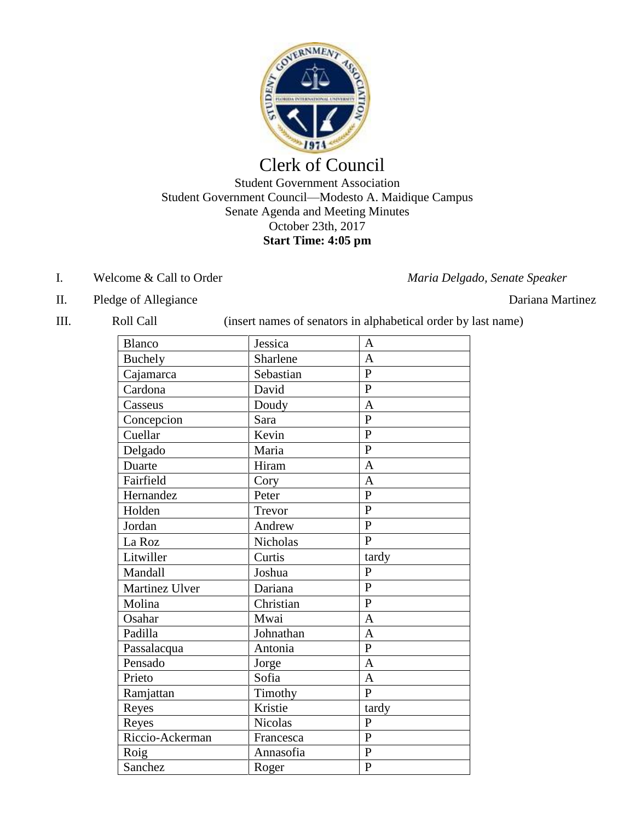

# Clerk of Council

### Student Government Association Student Government Council—Modesto A. Maidique Campus Senate Agenda and Meeting Minutes October 23th, 2017 **Start Time: 4:05 pm**

### I. Welcome & Call to Order *Maria Delgado, Senate Speaker*

- II. Pledge of Allegiance Dariana Martinez
- 

III. Roll Call (insert names of senators in alphabetical order by last name)

| <b>Blanco</b>   | Jessica        | A              |
|-----------------|----------------|----------------|
| <b>Buchely</b>  | Sharlene       | $\mathbf{A}$   |
| Cajamarca       | Sebastian      | $\mathbf{P}$   |
| Cardona         | David          | $\overline{P}$ |
| Casseus         | Doudy          | $\overline{A}$ |
| Concepcion      | Sara           | $\overline{P}$ |
| Cuellar         | Kevin          | $\overline{P}$ |
| Delgado         | Maria          | $\overline{P}$ |
| Duarte          | Hiram          | $\overline{A}$ |
| Fairfield       | Cory           | $\mathbf{A}$   |
| Hernandez       | Peter          | $\overline{P}$ |
| Holden          | Trevor         | $\overline{P}$ |
| Jordan          | Andrew         | $\mathbf{P}$   |
| La Roz          | Nicholas       | $\overline{P}$ |
| Litwiller       | Curtis         | tardy          |
| Mandall         | Joshua         | $\mathbf{P}$   |
| Martinez Ulver  | Dariana        | $\overline{P}$ |
| Molina          | Christian      | $\mathbf{P}$   |
| Osahar          | Mwai           | $\overline{A}$ |
| Padilla         | Johnathan      | $\mathbf{A}$   |
| Passalacqua     | Antonia        | $\overline{P}$ |
| Pensado         | Jorge          | $\overline{A}$ |
| Prieto          | Sofia          | $\overline{A}$ |
| Ramjattan       | Timothy        | $\mathbf{P}$   |
| Reyes           | Kristie        | tardy          |
| Reyes           | <b>Nicolas</b> | $\overline{P}$ |
| Riccio-Ackerman | Francesca      | $\overline{P}$ |
| Roig            | Annasofia      | $\overline{P}$ |
| Sanchez         | Roger          | $\mathbf P$    |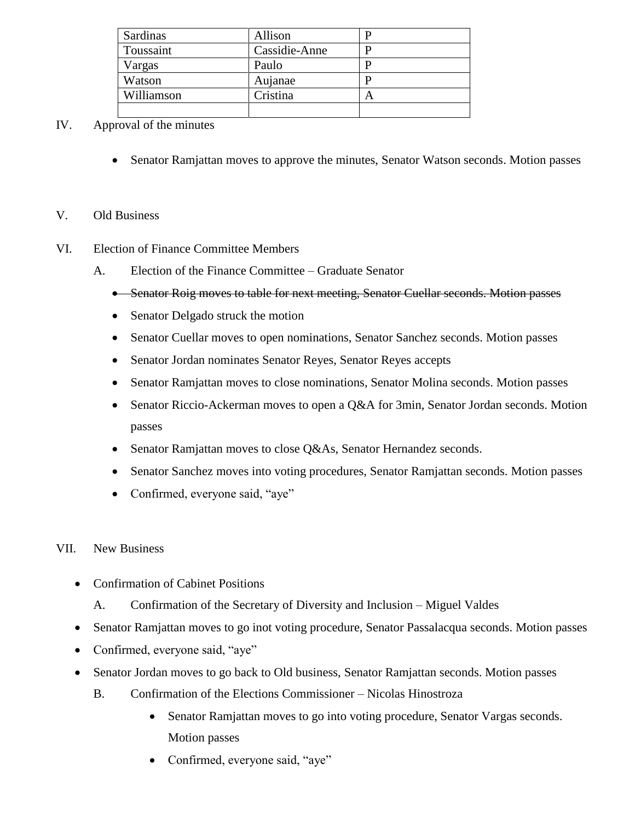| Sardinas   | Allison       |  |
|------------|---------------|--|
| Toussaint  | Cassidie-Anne |  |
| Vargas     | Paulo         |  |
| Watson     | Aujanae       |  |
| Williamson | Cristina      |  |
|            |               |  |

### IV. Approval of the minutes

• Senator Ramjattan moves to approve the minutes, Senator Watson seconds. Motion passes

### V. Old Business

- VI. Election of Finance Committee Members
	- A. Election of the Finance Committee Graduate Senator
		- Senator Roig moves to table for next meeting, Senator Cuellar seconds. Motion passes
		- Senator Delgado struck the motion
		- Senator Cuellar moves to open nominations, Senator Sanchez seconds. Motion passes
		- Senator Jordan nominates Senator Reyes, Senator Reyes accepts
		- Senator Ramjattan moves to close nominations, Senator Molina seconds. Motion passes
		- Senator Riccio-Ackerman moves to open a Q&A for 3min, Senator Jordan seconds. Motion passes
		- Senator Ramjattan moves to close Q&As, Senator Hernandez seconds.
		- Senator Sanchez moves into voting procedures, Senator Ramjattan seconds. Motion passes
		- Confirmed, everyone said, "aye"
- VII. New Business
	- Confirmation of Cabinet Positions
		- A. Confirmation of the Secretary of Diversity and Inclusion Miguel Valdes
	- Senator Ramjattan moves to go inot voting procedure, Senator Passalacqua seconds. Motion passes
	- Confirmed, everyone said, "aye"
	- Senator Jordan moves to go back to Old business, Senator Ramjattan seconds. Motion passes
		- B. Confirmation of the Elections Commissioner Nicolas Hinostroza
			- Senator Ramjattan moves to go into voting procedure, Senator Vargas seconds. Motion passes
			- Confirmed, everyone said, "aye"